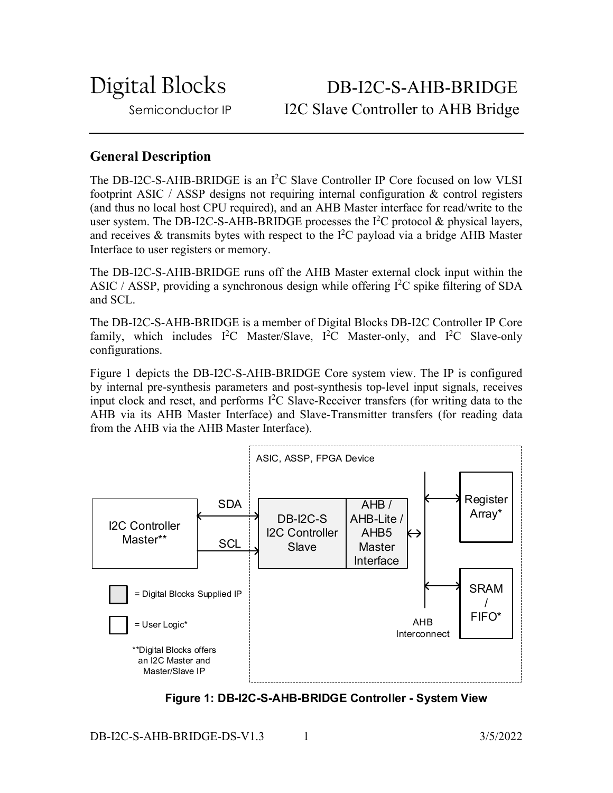Digital Blocks DB-I2C-S-AHB-BRIDGE Semiconductor IP I2C Slave Controller to AHB Bridge

# **General Description**

The DB-I2C-S-AHB-BRIDGE is an I<sup>2</sup>C Slave Controller IP Core focused on low VLSI footprint ASIC / ASSP designs not requiring internal configuration & control registers (and thus no local host CPU required), and an AHB Master interface for read/write to the user system. The DB-I2C-S-AHB-BRIDGE processes the  $I<sup>2</sup>C$  protocol & physical layers, and receives & transmits bytes with respect to the  $I^2C$  payload via a bridge AHB Master Interface to user registers or memory.

The DB-I2C-S-AHB-BRIDGE runs off the AHB Master external clock input within the ASIC / ASSP, providing a synchronous design while offering  $I<sup>2</sup>C$  spike filtering of SDA and SCL.

The DB-I2C-S-AHB-BRIDGE is a member of Digital Blocks DB-I2C Controller IP Core family, which includes  $I^2C$  Master/Slave,  $I^2C$  Master-only, and  $I^2C$  Slave-only configurations.

Figure 1 depicts the DB-I2C-S-AHB-BRIDGE Core system view. The IP is configured by internal pre-synthesis parameters and post-synthesis top-level input signals, receives input clock and reset, and performs I 2 C Slave-Receiver transfers (for writing data to the AHB via its AHB Master Interface) and Slave-Transmitter transfers (for reading data from the AHB via the AHB Master Interface).



**Figure 1: DB-I2C-S-AHB-BRIDGE Controller - System View**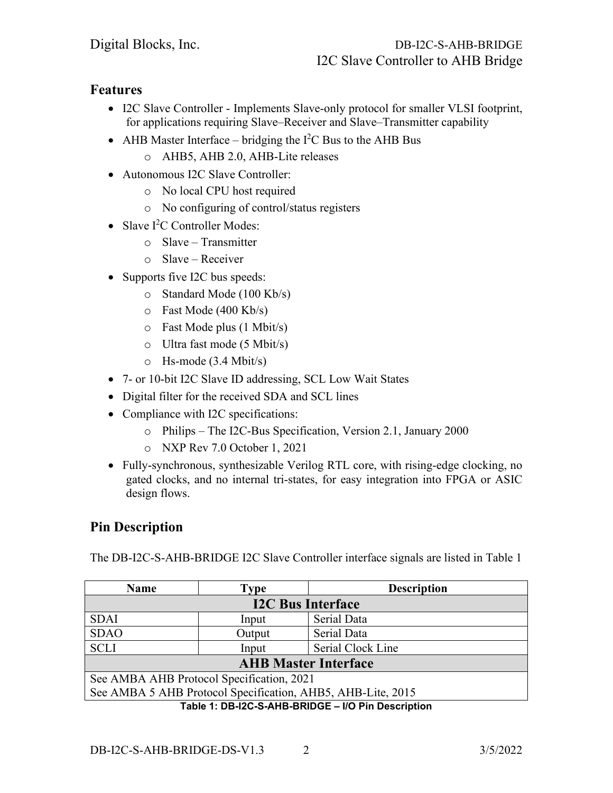## **Features**

- I2C Slave Controller Implements Slave-only protocol for smaller VLSI footprint, for applications requiring Slave–Receiver and Slave–Transmitter capability
- AHB Master Interface bridging the  $I^2C$  Bus to the AHB Bus
	- o AHB5, AHB 2.0, AHB-Lite releases
- Autonomous I2C Slave Controller:
	- o No local CPU host required
	- o No configuring of control/status registers
- Slave I<sup>2</sup>C Controller Modes:
	- o Slave Transmitter
	- o Slave Receiver
- Supports five I2C bus speeds:
	- o Standard Mode (100 Kb/s)
	- o Fast Mode (400 Kb/s)
	- o Fast Mode plus (1 Mbit/s)
	- o Ultra fast mode (5 Mbit/s)
	- o Hs-mode (3.4 Mbit/s)
- 7- or 10-bit I2C Slave ID addressing, SCL Low Wait States
- Digital filter for the received SDA and SCL lines
- Compliance with I2C specifications:
	- o Philips The I2C-Bus Specification, Version 2.1, January 2000
	- o NXP Rev 7.0 October 1, 2021
- Fully-synchronous, synthesizable Verilog RTL core, with rising-edge clocking, no gated clocks, and no internal tri-states, for easy integration into FPGA or ASIC design flows.

# **Pin Description**

The DB-I2C-S-AHB-BRIDGE I2C Slave Controller interface signals are listed in Table 1

| <b>Name</b>                                                 | <b>Type</b> | <b>Description</b> |
|-------------------------------------------------------------|-------------|--------------------|
| <b>I2C Bus Interface</b>                                    |             |                    |
| <b>SDAI</b>                                                 | Input       | Serial Data        |
| <b>SDAO</b>                                                 | Output      | Serial Data        |
| <b>SCLI</b>                                                 | Input       | Serial Clock Line  |
| <b>AHB Master Interface</b>                                 |             |                    |
| See AMBA AHB Protocol Specification, 2021                   |             |                    |
| See AMBA 5 AHB Protocol Specification, AHB5, AHB-Lite, 2015 |             |                    |
| Table 1: DB-I2C-S-AHB-BRIDGE - I/O Pin Description          |             |                    |